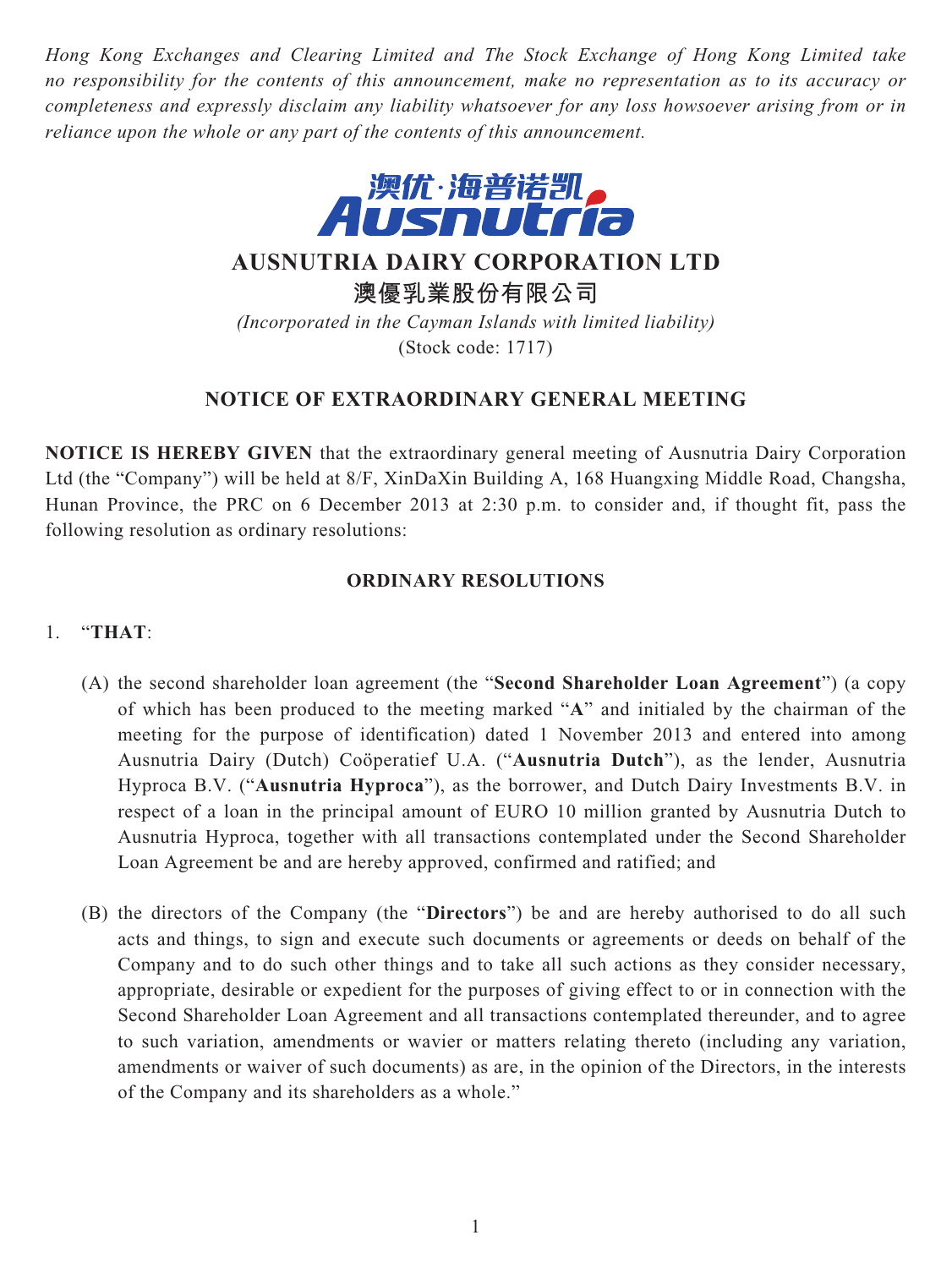*Hong Kong Exchanges and Clearing Limited and The Stock Exchange of Hong Kong Limited take no responsibility for the contents of this announcement, make no representation as to its accuracy or completeness and expressly disclaim any liability whatsoever for any loss howsoever arising from or in reliance upon the whole or any part of the contents of this announcement.*



**AUSNUTRIA DAIRY CORPORATION LTD**

**澳優乳業股份有限公司**

*(Incorporated in the Cayman Islands with limited liability)* (Stock code: 1717)

# **NOTICE OF EXTRAORDINARY GENERAL MEETING**

**NOTICE IS HEREBY GIVEN** that the extraordinary general meeting of Ausnutria Dairy Corporation Ltd (the "Company") will be held at 8/F, XinDaXin Building A, 168 Huangxing Middle Road, Changsha, Hunan Province, the PRC on 6 December 2013 at 2:30 p.m. to consider and, if thought fit, pass the following resolution as ordinary resolutions:

### **ORDINARY RESOLUTIONS**

## 1. "**THAT**:

- (A) the second shareholder loan agreement (the "**Second Shareholder Loan Agreement**") (a copy of which has been produced to the meeting marked "**A**" and initialed by the chairman of the meeting for the purpose of identification) dated 1 November 2013 and entered into among Ausnutria Dairy (Dutch) Coöperatief U.A. ("**Ausnutria Dutch**"), as the lender, Ausnutria Hyproca B.V. ("**Ausnutria Hyproca**"), as the borrower, and Dutch Dairy Investments B.V. in respect of a loan in the principal amount of EURO 10 million granted by Ausnutria Dutch to Ausnutria Hyproca, together with all transactions contemplated under the Second Shareholder Loan Agreement be and are hereby approved, confirmed and ratified; and
- (B) the directors of the Company (the "**Directors**") be and are hereby authorised to do all such acts and things, to sign and execute such documents or agreements or deeds on behalf of the Company and to do such other things and to take all such actions as they consider necessary, appropriate, desirable or expedient for the purposes of giving effect to or in connection with the Second Shareholder Loan Agreement and all transactions contemplated thereunder, and to agree to such variation, amendments or wavier or matters relating thereto (including any variation, amendments or waiver of such documents) as are, in the opinion of the Directors, in the interests of the Company and its shareholders as a whole."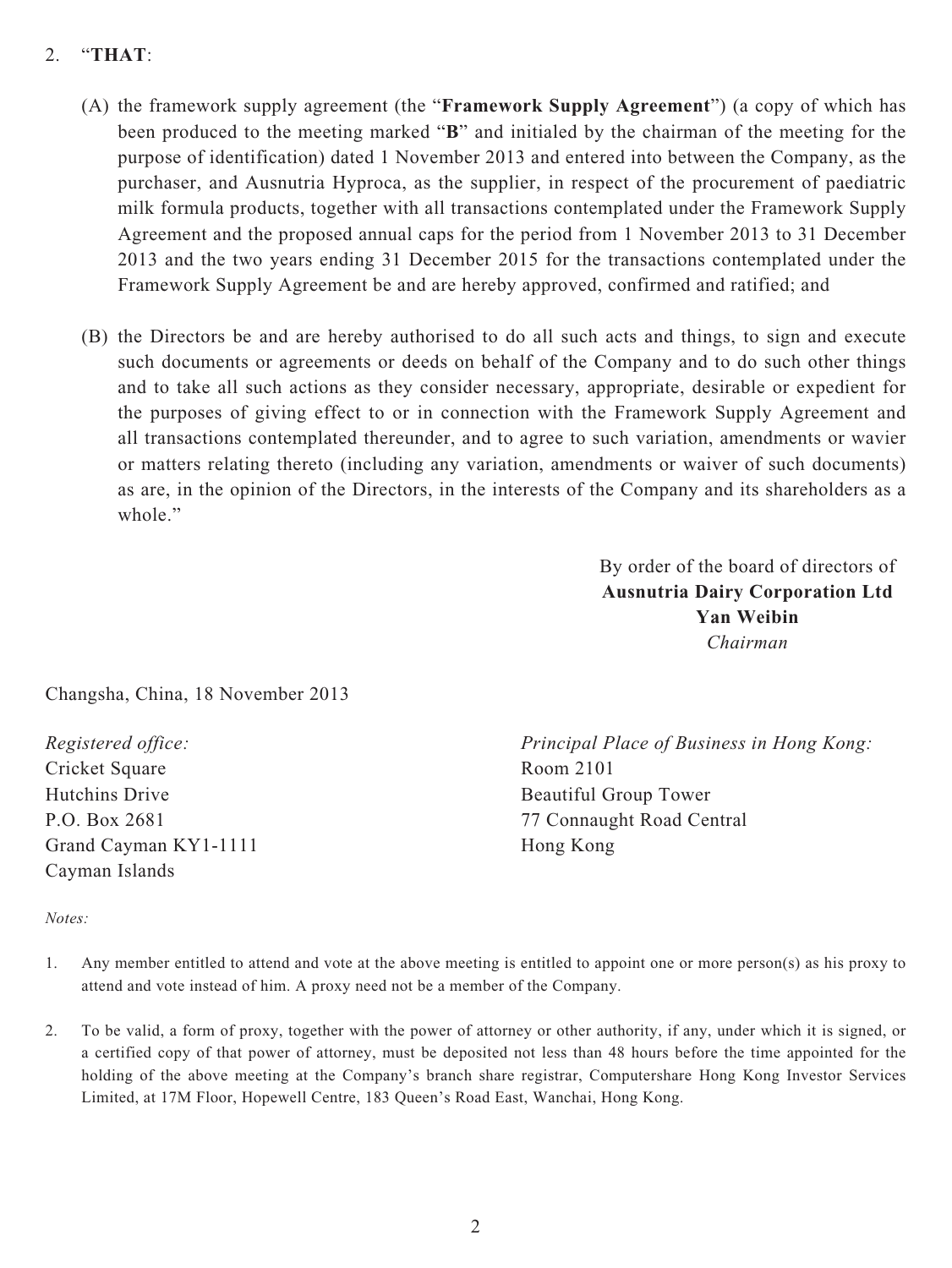## 2. "**THAT**:

- (A) the framework supply agreement (the "**Framework Supply Agreement**") (a copy of which has been produced to the meeting marked "**B**" and initialed by the chairman of the meeting for the purpose of identification) dated 1 November 2013 and entered into between the Company, as the purchaser, and Ausnutria Hyproca, as the supplier, in respect of the procurement of paediatric milk formula products, together with all transactions contemplated under the Framework Supply Agreement and the proposed annual caps for the period from 1 November 2013 to 31 December 2013 and the two years ending 31 December 2015 for the transactions contemplated under the Framework Supply Agreement be and are hereby approved, confirmed and ratified; and
- (B) the Directors be and are hereby authorised to do all such acts and things, to sign and execute such documents or agreements or deeds on behalf of the Company and to do such other things and to take all such actions as they consider necessary, appropriate, desirable or expedient for the purposes of giving effect to or in connection with the Framework Supply Agreement and all transactions contemplated thereunder, and to agree to such variation, amendments or wavier or matters relating thereto (including any variation, amendments or waiver of such documents) as are, in the opinion of the Directors, in the interests of the Company and its shareholders as a whole."

By order of the board of directors of **Ausnutria Dairy Corporation Ltd Yan Weibin** *Chairman*

Changsha, China, 18 November 2013

*Registered office:* Cricket Square Hutchins Drive P.O. Box 2681 Grand Cayman KY1-1111 Cayman Islands

*Principal Place of Business in Hong Kong:* Room 2101 Beautiful Group Tower 77 Connaught Road Central Hong Kong

#### *Notes:*

- 1. Any member entitled to attend and vote at the above meeting is entitled to appoint one or more person(s) as his proxy to attend and vote instead of him. A proxy need not be a member of the Company.
- 2. To be valid, a form of proxy, together with the power of attorney or other authority, if any, under which it is signed, or a certified copy of that power of attorney, must be deposited not less than 48 hours before the time appointed for the holding of the above meeting at the Company's branch share registrar, Computershare Hong Kong Investor Services Limited, at 17M Floor, Hopewell Centre, 183 Queen's Road East, Wanchai, Hong Kong.